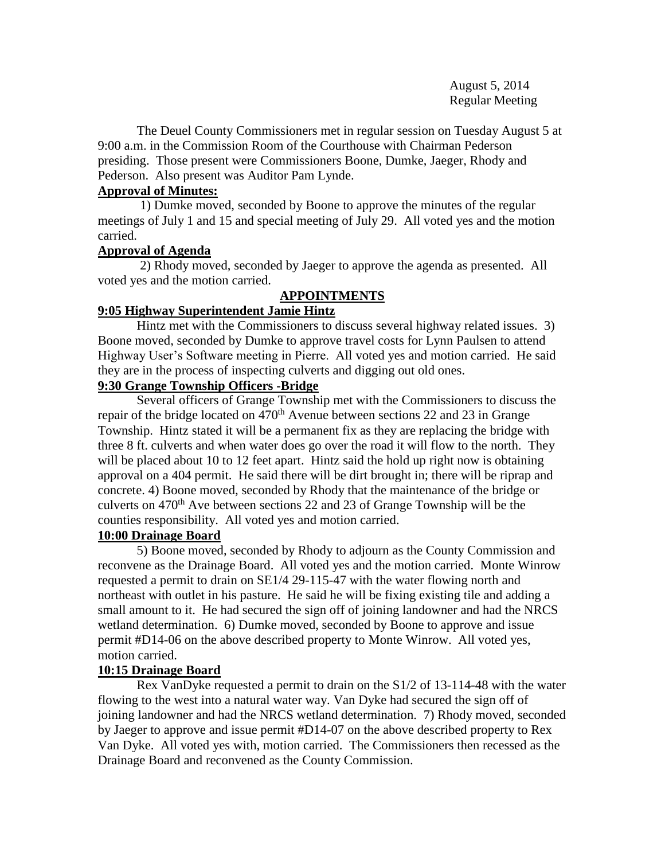August 5, 2014 Regular Meeting

The Deuel County Commissioners met in regular session on Tuesday August 5 at 9:00 a.m. in the Commission Room of the Courthouse with Chairman Pederson presiding. Those present were Commissioners Boone, Dumke, Jaeger, Rhody and Pederson. Also present was Auditor Pam Lynde.

### **Approval of Minutes:**

 1) Dumke moved, seconded by Boone to approve the minutes of the regular meetings of July 1 and 15 and special meeting of July 29. All voted yes and the motion carried.

## **Approval of Agenda**

2) Rhody moved, seconded by Jaeger to approve the agenda as presented. All voted yes and the motion carried.

## **APPOINTMENTS**

## **9:05 Highway Superintendent Jamie Hintz**

Hintz met with the Commissioners to discuss several highway related issues. 3) Boone moved, seconded by Dumke to approve travel costs for Lynn Paulsen to attend Highway User's Software meeting in Pierre. All voted yes and motion carried. He said they are in the process of inspecting culverts and digging out old ones.

## **9:30 Grange Township Officers -Bridge**

Several officers of Grange Township met with the Commissioners to discuss the repair of the bridge located on  $470<sup>th</sup>$  Avenue between sections 22 and 23 in Grange Township. Hintz stated it will be a permanent fix as they are replacing the bridge with three 8 ft. culverts and when water does go over the road it will flow to the north. They will be placed about 10 to 12 feet apart. Hintz said the hold up right now is obtaining approval on a 404 permit. He said there will be dirt brought in; there will be riprap and concrete. 4) Boone moved, seconded by Rhody that the maintenance of the bridge or culverts on  $470<sup>th</sup>$  Ave between sections 22 and 23 of Grange Township will be the counties responsibility. All voted yes and motion carried.

## **10:00 Drainage Board**

5) Boone moved, seconded by Rhody to adjourn as the County Commission and reconvene as the Drainage Board. All voted yes and the motion carried. Monte Winrow requested a permit to drain on SE1/4 29-115-47 with the water flowing north and northeast with outlet in his pasture. He said he will be fixing existing tile and adding a small amount to it. He had secured the sign off of joining landowner and had the NRCS wetland determination. 6) Dumke moved, seconded by Boone to approve and issue permit #D14-06 on the above described property to Monte Winrow. All voted yes, motion carried.

## **10:15 Drainage Board**

Rex VanDyke requested a permit to drain on the S1/2 of 13-114-48 with the water flowing to the west into a natural water way. Van Dyke had secured the sign off of joining landowner and had the NRCS wetland determination. 7) Rhody moved, seconded by Jaeger to approve and issue permit #D14-07 on the above described property to Rex Van Dyke. All voted yes with, motion carried. The Commissioners then recessed as the Drainage Board and reconvened as the County Commission.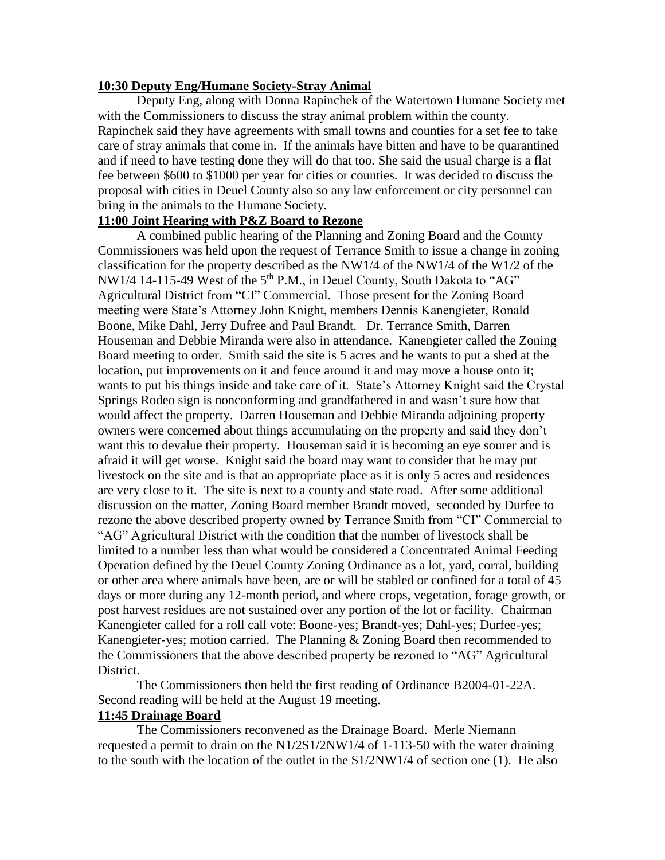### **10:30 Deputy Eng/Humane Society-Stray Animal**

 Deputy Eng, along with Donna Rapinchek of the Watertown Humane Society met with the Commissioners to discuss the stray animal problem within the county. Rapinchek said they have agreements with small towns and counties for a set fee to take care of stray animals that come in. If the animals have bitten and have to be quarantined and if need to have testing done they will do that too. She said the usual charge is a flat fee between \$600 to \$1000 per year for cities or counties. It was decided to discuss the proposal with cities in Deuel County also so any law enforcement or city personnel can bring in the animals to the Humane Society.

# **11:00 Joint Hearing with P&Z Board to Rezone**

 A combined public hearing of the Planning and Zoning Board and the County Commissioners was held upon the request of Terrance Smith to issue a change in zoning classification for the property described as the NW1/4 of the NW1/4 of the W1/2 of the NW1/4 14-115-49 West of the 5<sup>th</sup> P.M., in Deuel County, South Dakota to "AG" Agricultural District from "CI" Commercial. Those present for the Zoning Board meeting were State's Attorney John Knight, members Dennis Kanengieter, Ronald Boone, Mike Dahl, Jerry Dufree and Paul Brandt. Dr. Terrance Smith, Darren Houseman and Debbie Miranda were also in attendance. Kanengieter called the Zoning Board meeting to order. Smith said the site is 5 acres and he wants to put a shed at the location, put improvements on it and fence around it and may move a house onto it; wants to put his things inside and take care of it. State's Attorney Knight said the Crystal Springs Rodeo sign is nonconforming and grandfathered in and wasn't sure how that would affect the property. Darren Houseman and Debbie Miranda adjoining property owners were concerned about things accumulating on the property and said they don't want this to devalue their property. Houseman said it is becoming an eye sourer and is afraid it will get worse. Knight said the board may want to consider that he may put livestock on the site and is that an appropriate place as it is only 5 acres and residences are very close to it. The site is next to a county and state road. After some additional discussion on the matter, Zoning Board member Brandt moved, seconded by Durfee to rezone the above described property owned by Terrance Smith from "CI" Commercial to "AG" Agricultural District with the condition that the number of livestock shall be limited to a number less than what would be considered a Concentrated Animal Feeding Operation defined by the Deuel County Zoning Ordinance as a lot, yard, corral, building or other area where animals have been, are or will be stabled or confined for a total of 45 days or more during any 12-month period, and where crops, vegetation, forage growth, or post harvest residues are not sustained over any portion of the lot or facility. Chairman Kanengieter called for a roll call vote: Boone-yes; Brandt-yes; Dahl-yes; Durfee-yes; Kanengieter-yes; motion carried. The Planning & Zoning Board then recommended to the Commissioners that the above described property be rezoned to "AG" Agricultural District.

The Commissioners then held the first reading of Ordinance B2004-01-22A. Second reading will be held at the August 19 meeting.

### **11:45 Drainage Board**

The Commissioners reconvened as the Drainage Board. Merle Niemann requested a permit to drain on the N1/2S1/2NW1/4 of 1-113-50 with the water draining to the south with the location of the outlet in the  $S1/2NW1/4$  of section one (1). He also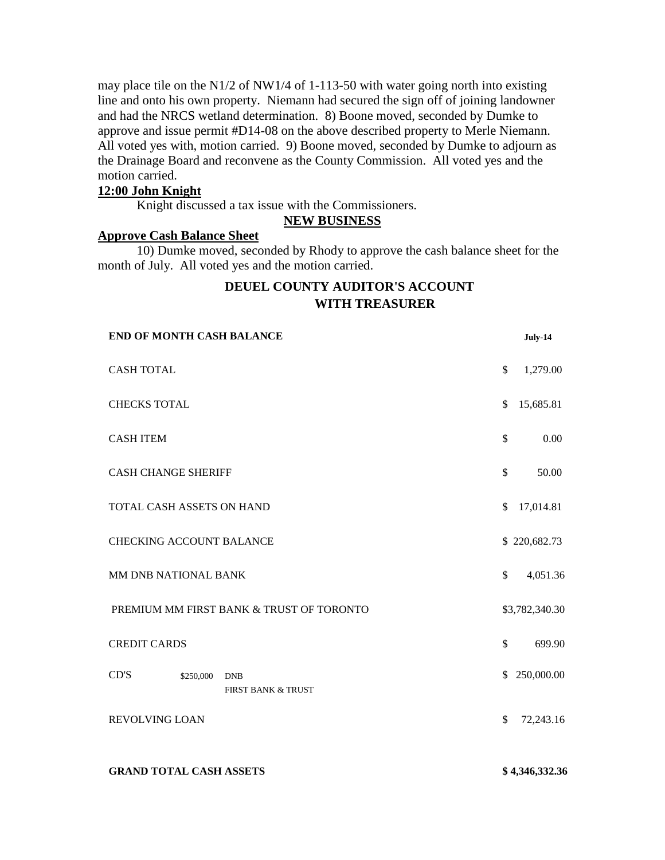may place tile on the N1/2 of NW1/4 of 1-113-50 with water going north into existing line and onto his own property. Niemann had secured the sign off of joining landowner and had the NRCS wetland determination. 8) Boone moved, seconded by Dumke to approve and issue permit #D14-08 on the above described property to Merle Niemann. All voted yes with, motion carried. 9) Boone moved, seconded by Dumke to adjourn as the Drainage Board and reconvene as the County Commission. All voted yes and the motion carried.

### **12:00 John Knight**

Knight discussed a tax issue with the Commissioners.

#### **NEW BUSINESS**

#### **Approve Cash Balance Sheet**

**END OF MONTH CASH BALANCE July-14**

10) Dumke moved, seconded by Rhody to approve the cash balance sheet for the month of July. All voted yes and the motion carried.

# **DEUEL COUNTY AUDITOR'S ACCOUNT WITH TREASURER**

| <b>END OF MONTH CASH BALANCE</b>                      |              | July-14        |
|-------------------------------------------------------|--------------|----------------|
| <b>CASH TOTAL</b>                                     | \$           | 1,279.00       |
| <b>CHECKS TOTAL</b>                                   | \$           | 15,685.81      |
| <b>CASH ITEM</b>                                      | \$           | 0.00           |
| <b>CASH CHANGE SHERIFF</b>                            | $\mathbb{S}$ | 50.00          |
| TOTAL CASH ASSETS ON HAND                             | \$           | 17,014.81      |
| <b>CHECKING ACCOUNT BALANCE</b>                       |              | \$220,682.73   |
| MM DNB NATIONAL BANK                                  | \$           | 4,051.36       |
| PREMIUM MM FIRST BANK & TRUST OF TORONTO              |              | \$3,782,340.30 |
| <b>CREDIT CARDS</b>                                   | \$           | 699.90         |
| CD'S<br>\$250,000<br><b>DNB</b><br>FIRST BANK & TRUST | \$           | 250,000.00     |
| <b>REVOLVING LOAN</b>                                 | \$           | 72,243.16      |
|                                                       |              |                |

#### **GRAND TOTAL CASH ASSETS \$ 4,346,332.36**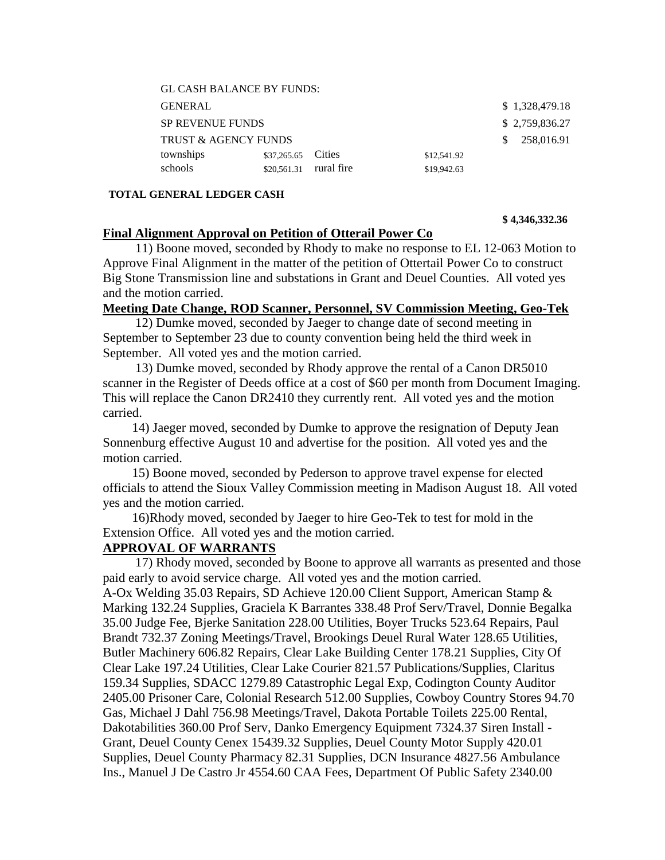| <b>GL CASH BALANCE BY FUNDS:</b> |                        |                |             |                |
|----------------------------------|------------------------|----------------|-------------|----------------|
| <b>GENERAL</b>                   |                        |                |             | \$1,328,479.18 |
| <b>SP REVENUE FUNDS</b>          |                        | \$2,759,836.27 |             |                |
| <b>TRUST &amp; AGENCY FUNDS</b>  |                        | 258,016.91     |             |                |
| townships                        | \$37,265.65 Cities     |                | \$12,541.92 |                |
| schools                          | \$20,561.31 rural fire |                | \$19,942.63 |                |

#### **TOTAL GENERAL LEDGER CASH**

#### **\$ 4,346,332.36**

### **Final Alignment Approval on Petition of Otterail Power Co**

 11) Boone moved, seconded by Rhody to make no response to EL 12-063 Motion to Approve Final Alignment in the matter of the petition of Ottertail Power Co to construct Big Stone Transmission line and substations in Grant and Deuel Counties. All voted yes and the motion carried.

### **Meeting Date Change, ROD Scanner, Personnel, SV Commission Meeting, Geo-Tek**

 12) Dumke moved, seconded by Jaeger to change date of second meeting in September to September 23 due to county convention being held the third week in September. All voted yes and the motion carried.

 13) Dumke moved, seconded by Rhody approve the rental of a Canon DR5010 scanner in the Register of Deeds office at a cost of \$60 per month from Document Imaging. This will replace the Canon DR2410 they currently rent. All voted yes and the motion carried.

 14) Jaeger moved, seconded by Dumke to approve the resignation of Deputy Jean Sonnenburg effective August 10 and advertise for the position. All voted yes and the motion carried.

 15) Boone moved, seconded by Pederson to approve travel expense for elected officials to attend the Sioux Valley Commission meeting in Madison August 18. All voted yes and the motion carried.

 16)Rhody moved, seconded by Jaeger to hire Geo-Tek to test for mold in the Extension Office. All voted yes and the motion carried.

### **APPROVAL OF WARRANTS**

 17) Rhody moved, seconded by Boone to approve all warrants as presented and those paid early to avoid service charge. All voted yes and the motion carried. A-Ox Welding 35.03 Repairs, SD Achieve 120.00 Client Support, American Stamp & Marking 132.24 Supplies, Graciela K Barrantes 338.48 Prof Serv/Travel, Donnie Begalka 35.00 Judge Fee, Bjerke Sanitation 228.00 Utilities, Boyer Trucks 523.64 Repairs, Paul Brandt 732.37 Zoning Meetings/Travel, Brookings Deuel Rural Water 128.65 Utilities, Butler Machinery 606.82 Repairs, Clear Lake Building Center 178.21 Supplies, City Of Clear Lake 197.24 Utilities, Clear Lake Courier 821.57 Publications/Supplies, Claritus 159.34 Supplies, SDACC 1279.89 Catastrophic Legal Exp, Codington County Auditor 2405.00 Prisoner Care, Colonial Research 512.00 Supplies, Cowboy Country Stores 94.70 Gas, Michael J Dahl 756.98 Meetings/Travel, Dakota Portable Toilets 225.00 Rental, Dakotabilities 360.00 Prof Serv, Danko Emergency Equipment 7324.37 Siren Install - Grant, Deuel County Cenex 15439.32 Supplies, Deuel County Motor Supply 420.01 Supplies, Deuel County Pharmacy 82.31 Supplies, DCN Insurance 4827.56 Ambulance Ins., Manuel J De Castro Jr 4554.60 CAA Fees, Department Of Public Safety 2340.00